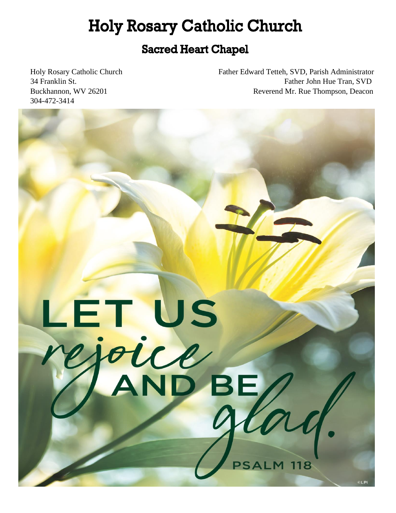# **Holy Rosary Catholic Church**

# **Sacred Heart Chapel**

304-472-3414

Holy Rosary Catholic Church Father Edward Tetteh, SVD, Parish Administrator 34 Franklin St. Father John Hue Tran, SVD Buckhannon, WV 26201 Reverend Mr. Rue Thompson, Deacon

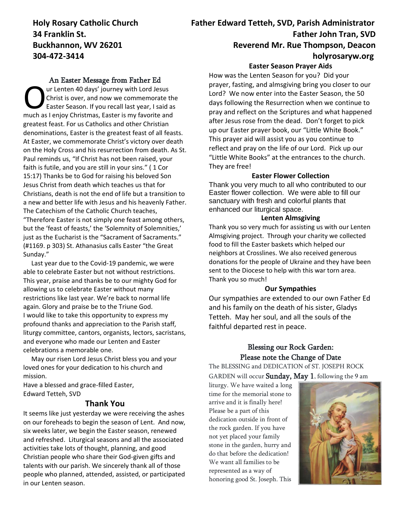#### An Easter Message from Father Ed

ur Lenten 40 days' journey with Lord Jesus Christ is over, and now we commemorate the Easter Season. If you recall last year, I said as The much as I enjoy Christmas, Easter is my favorite and the Easter Season. If you recall last year, I said as much as I enjoy Christmas, Easter is my favorite and greatest feast. For us Catholics and other Christian denominations, Easter is the greatest feast of all feasts. At Easter, we commemorate Christ's victory over death on the Holy Cross and his resurrection from death. As St. Paul reminds us, "If Christ has not been raised, your faith is futile, and you are still in your sins." ( 1 Cor 15:17) Thanks be to God for raising his beloved Son Jesus Christ from death which teaches us that for Christians, death is not the end of life but a transition to a new and better life with Jesus and his heavenly Father. The Catechism of the Catholic Church teaches, "Therefore Easter is not simply one feast among others, but the 'feast of feasts,' the 'Solemnity of Solemnities,' just as the Eucharist is the "Sacrament of Sacraments." (#1169. p 303) St. Athanasius calls Easter "the Great Sunday."

 Last year due to the Covid-19 pandemic, we were able to celebrate Easter but not without restrictions. This year, praise and thanks be to our mighty God for allowing us to celebrate Easter without many restrictions like last year. We're back to normal life again. Glory and praise be to the Triune God. I would like to take this opportunity to express my profound thanks and appreciation to the Parish staff, liturgy committee, cantors, organists, lectors, sacristans, and everyone who made our Lenten and Easter celebrations a memorable one.

 May our risen Lord Jesus Christ bless you and your loved ones for your dedication to his church and mission.

Have a blessed and grace-filled Easter, Edward Tetteh, SVD

#### **Thank You**

It seems like just yesterday we were receiving the ashes on our foreheads to begin the season of Lent. And now, six weeks later, we begin the Easter season, renewed and refreshed. Liturgical seasons and all the associated activities take lots of thought, planning, and good Christian people who share their God-given gifts and talents with our parish. We sincerely thank all of those people who planned, attended, assisted, or participated in our Lenten season.

# **Holy Rosary Catholic Church Father Edward Tetteh, SVD, Parish Administrator 34 Franklin St. Father John Tran, SVD Father John Tran, SVD Buckhannon, WV 26201 Reverend Mr. Rue Thompson, Deacon 304-472-3414 holyrosaryw.org**

#### **Easter Season Prayer Aids**

How was the Lenten Season for you? Did your prayer, fasting, and almsgiving bring you closer to our Lord? We now enter into the Easter Season, the 50 days following the Resurrection when we continue to pray and reflect on the Scriptures and what happened after Jesus rose from the dead. Don't forget to pick up our Easter prayer book, our "Little White Book." This prayer aid will assist you as you continue to reflect and pray on the life of our Lord. Pick up our "Little White Books" at the entrances to the church. They are free!

#### **Easter Flower Collection**

Thank you very much to all who contributed to our Easter flower collection. We were able to fill our sanctuary with fresh and colorful plants that enhanced our liturgical space.

#### **Lenten Almsgiving**

Thank you so very much for assisting us with our Lenten Almsgiving project. Through your charity we collected food to fill the Easter baskets which helped our neighbors at Crosslines. We also received generous donations for the people of Ukraine and they have been sent to the Diocese to help with this war torn area. Thank you so much!

#### **Our Sympathies**

Our sympathies are extended to our own Father Ed and his family on the death of his sister, Gladys Tetteh. May her soul, and all the souls of the faithful departed rest in peace.

### Blessing our Rock Garden: Please note the Change of Date

The BLESSING and DEDICATION of ST. JOSEPH ROCK GARDEN will occur **Sunday, May 1**, following the 9 am

liturgy. We have waited a long time for the memorial stone to arrive and it is finally here! Please be a part of this dedication outside in front of the rock garden. If you have not yet placed your family stone in the garden, hurry and do that before the dedication! We want all families to be represented as a way of honoring good St. Joseph. This

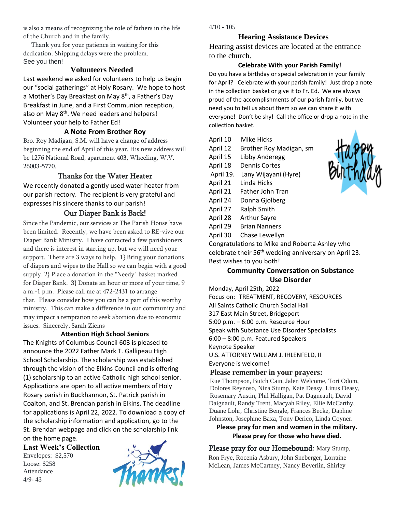is also a means of recognizing the role of fathers in the life of the Church and in the family.

 Thank you for your patience in waiting for this dedication. Shipping delays were the problem. See you then!

#### **Volunteers Needed**

Last weekend we asked for volunteers to help us begin our "social gatherings" at Holy Rosary. We hope to host a Mother's Day Breakfast on May 8<sup>th</sup>, a Father's Day Breakfast in June, and a First Communion reception, also on May 8<sup>th</sup>. We need leaders and helpers! Volunteer your help to Father Ed!

#### **A Note From Brother Roy**

Bro. Roy Madigan, S.M. will have a change of address beginning the end of April of this year. His new address will be 1276 National Road, apartment 403, Wheeling, W.V. 26003-5770.

#### Thanks for the Water Heater

We recently donated a gently used water heater from our parish rectory. The recipient is very grateful and expresses his sincere thanks to our parish!

#### Our Diaper Bank is Back!

Since the Pandemic, our services at The Parish House have been limited. Recently, we have been asked to RE-vive our Diaper Bank Ministry. I have contacted a few parishioners and there is interest in starting up, but we will need your support. There are 3 ways to help. 1} Bring your donations of diapers and wipes to the Hall so we can begin with a good supply. 2} Place a donation in the "Needy" basket marked for Diaper Bank. 3} Donate an hour or more of your time, 9 a.m.-1 p.m. Please call me at 472-2431 to arrange that. Please consider how you can be a part of this worthy ministry. This can make a difference in our community and may impact a temptation to seek abortion due to economic issues. Sincerely, Sarah Ziems

#### **Attention High School Seniors**

The Knights of Columbus Council 603 is pleased to announce the 2022 Father Mark T. Gallipeau High School Scholarship. The scholarship was established through the vision of the Elkins Council and is offering (1) scholarship to an active Catholic high school senior. Applications are open to all active members of Holy Rosary parish in Buckhannon, St. Patrick parish in Coalton, and St. Brendan parish in Elkins. The deadline for applications is April 22, 2022. To download a copy of the scholarship information and application, go to the St. Brendan webpage and click on the scholarship link on the home page.

**Last Week's Collection**

Envelopes: \$2,570 Loose: \$258 Attendance 4/9- 43



 $4/10 - 105$ 

#### **Hearing Assistance Devices**

Hearing assist devices are located at the entrance to the church.

#### **Celebrate With your Parish Family!**

Do you have a birthday or special celebration in your family for April? Celebrate with your parish family! Just drop a note in the collection basket or give it to Fr. Ed. We are always proud of the accomplishments of our parish family, but we need you to tell us about them so we can share it with everyone! Don't be shy! Call the office or drop a note in the collection basket.

| April 10  | Mike Hicks              |
|-----------|-------------------------|
| April 12  | Brother Roy Madigan, sm |
| April 15  | Libby Anderegg          |
| April 18  | Dennis Cortes           |
| April 19. | Lany Wijayani (Hyre)    |
| April 21  | Linda Hicks             |
| April 21  | Father John Tran        |
| April 24  | Donna Gjolberg          |
| April 27  | Ralph Smith             |
| April 28  | Arthur Sayre            |
| April 29  | <b>Brian Nanners</b>    |
| April 30  | Chase Lewellyn          |
|           |                         |

Congratulations to Mike and Roberta Ashley who celebrate their 56th wedding anniversary on April 23. Best wishes to you both!

#### **Community Conversation on Substance Use Disorder**

Monday, April 25th, 2022 Focus on: TREATMENT, RECOVERY, RESOURCES All Saints Catholic Church Social Hall 317 East Main Street, Bridgeport 5:00 p.m. – 6:00 p.m. Resource Hour Speak with Substance Use Disorder Specialists 6:00 – 8:00 p.m. Featured Speakers Keynote Speaker U.S. ATTORNEY WILLIAM J. IHLENFELD, II Everyone is welcome!

#### **Please remember in your prayers:**

Rue Thompson, Butch Cain, Jalen Welcome, Tori Odom, Dolores Reynoso, Nina Stump, Kate Deasy, Linus Deasy, Rosemary Austin, Phil Halligan, Pat Dagneault, David Daignault, Randy Trent, Macyah Riley, Ellie McCarthy, Duane Lohr, Christine Bengle, Frances Becke, Daphne Johnston, Josephine Baxa, Tony Derico, Linda Coyner.

#### **Please pray for men and women in the military. Please pray for those who have died.**

Please pray for our Homebound: Mary Stump, Ron Frye, Rocenia Asbury, John Sneberger, Lorraine McLean, James McCartney, Nancy Beverlin, Shirley